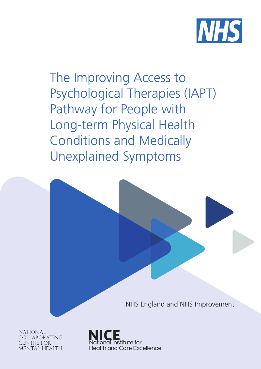

The Improving Access to Psychological Therapies (IAPT) Pathway for People with Long-term Physical Health Conditions and Medically Unexplained Symptoms

NHS England and NHS Improvement

**NATIONAL** COLLABORATING **CENTRE FOR** MENTAL HEALTH

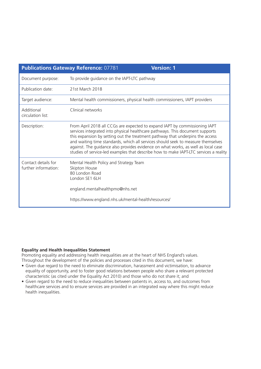| <b>Publications Gateway Reference: 07781</b>                                                                                                                                                                                                                                                                                                                                                                                                                                                                   | <b>Version: 1</b>                                   |  |  |
|----------------------------------------------------------------------------------------------------------------------------------------------------------------------------------------------------------------------------------------------------------------------------------------------------------------------------------------------------------------------------------------------------------------------------------------------------------------------------------------------------------------|-----------------------------------------------------|--|--|
| To provide guidance on the IAPT-LTC pathway                                                                                                                                                                                                                                                                                                                                                                                                                                                                    |                                                     |  |  |
| 21st March 2018                                                                                                                                                                                                                                                                                                                                                                                                                                                                                                |                                                     |  |  |
| Mental health commissioners, physical health commissioners, IAPT providers                                                                                                                                                                                                                                                                                                                                                                                                                                     |                                                     |  |  |
| Clinical networks                                                                                                                                                                                                                                                                                                                                                                                                                                                                                              |                                                     |  |  |
| From April 2018 all CCGs are expected to expand IAPT by commissioning IAPT<br>services integrated into physical healthcare pathways. This document supports<br>this expansion by setting out the treatment pathway that underpins the access<br>and waiting time standards, which all services should seek to measure themselves<br>against. The guidance also provides evidence on what works, as well as local case<br>studies of service-led examples that describe how to make IAPT-LTC services a reality |                                                     |  |  |
| Mental Health Policy and Strategy Team<br>Skipton House<br>80 London Road<br>London SE1 6LH<br>england.mentalhealthpmo@nhs.net                                                                                                                                                                                                                                                                                                                                                                                 |                                                     |  |  |
|                                                                                                                                                                                                                                                                                                                                                                                                                                                                                                                | https://www.england.nhs.uk/mental-health/resources/ |  |  |

#### **Equality and Health Inequalities Statement**

Promoting equality and addressing health inequalities are at the heart of NHS England's values. Throughout the development of the policies and processes cited in this document, we have:

- Given due regard to the need to eliminate discrimination, harassment and victimisation, to advance equality of opportunity, and to foster good relations between people who share a relevant protected characteristic (as cited under the Equality Act 2010) and those who do not share it; and
- Given regard to the need to reduce inequalities between patients in, access to, and outcomes from healthcare services and to ensure services are provided in an integrated way where this might reduce health inequalities.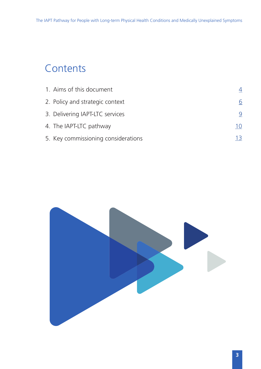# **Contents**

| 1. Aims of this document            |          |
|-------------------------------------|----------|
| 2. Policy and strategic context     | <u>6</u> |
| 3. Delivering IAPT-LTC services     | 9        |
| 4. The IAPT-LTC pathway             | 10       |
| 5. Key commissioning considerations | 13       |

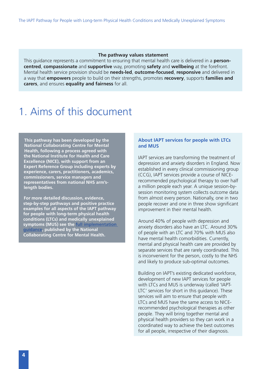#### **The pathway values statement**

<span id="page-3-0"></span>This guidance represents a commitment to ensuring that mental health care is delivered in a **personcentred**, **compassionate** and **supportive** way, promoting **safety** and **wellbeing** at the forefront. Mental health service provision should be **needs-led**, **outcome-focused**, **responsive** and delivered in a way that **empowers** people to build on their strengths, promotes **recovery**, supports **families and carers**, and ensures **equality and fairness** for all.

### 1. Aims of this document

**This pathway has been developed by the National Collaborating Centre for Mental Health, following a process agreed with the National Institute for Health and Care Excellence (NICE), with support from an Expert Reference Group including experts by experience, carers, practitioners, academics, commissioners, service managers and representatives from national NHS arm'slength bodies.** 

**For more detailed discussion, evidence, step-by-step pathways and positive practice examples for all aspects of the IAPT pathway for people with long-term physical health conditions (LTCs) and medically unexplained symptoms (MUS) see the [full implementation](http://www.rcpsych.ac.uk/IAPTCarePathways)  [guidance](http://www.rcpsych.ac.uk/IAPTCarePathways), published by the National Collaborating Centre for Mental Health.** 

#### **About IAPT services for people with LTCs and MUS**

IAPT services are transforming the treatment of depression and anxiety disorders in England. Now established in every clinical commissioning group (CCG), IAPT services provide a course of NICErecommended psychological therapy to over half a million people each year. A unique session-bysession monitoring system collects outcome data from almost every person. Nationally, one in two people recover and one in three show significant improvement in their mental health.

Around 40% of people with depression and anxiety disorders also have an LTC. Around 30% of people with an LTC and 70% with MUS also have mental health comorbidities. Currently, mental and physical health care are provided by separate services that are rarely coordinated. This is inconvenient for the person, costly to the NHS and likely to produce sub-optimal outcomes.

Building on IAPT's existing dedicated workforce, development of new IAPT services for people with LTCs and MUS is underway (called 'IAPT-LTC' services for short in this guidance). These services will aim to ensure that people with LTCs and MUS have the same access to NICErecommended psychological therapies as other people. They will bring together mental and physical health providers so they can work in a coordinated way to achieve the best outcomes for all people, irrespective of their diagnosis.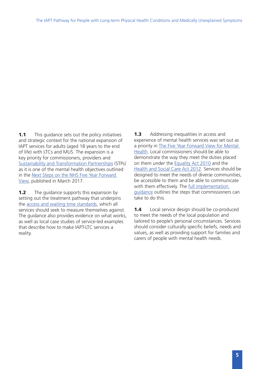**1.1** This guidance sets out the policy initiatives and strategic context for the national expansion of IAPT services for adults (aged 18 years to the end of life) with LTCs and MUS. The expansion is a key priority for commissioners, providers and [Sustainability and Transformation Partnerships](https://www.england.nhs.uk/stps/) (STPs) as it is one of the mental health objectives outlined in the [Next Steps on the NHS Five Year Forward](https://www.england.nhs.uk/publication/next-steps-on-the-nhs-five-year-forward-view/)  [View](https://www.england.nhs.uk/publication/next-steps-on-the-nhs-five-year-forward-view/), published in March 2017.

**1.2** The guidance supports this expansion by setting out the treatment pathway that underpins the [access and waiting time standards,](https://www.ucl.ac.uk/pals/research/clinical-educational-and-health-psychology/research-groups/core/competence-frameworks-9) which all services should seek to measure themselves against. The guidance also provides evidence on what works, as well as local case studies of service-led examples that describe how to make IAPT-LTC services a reality.

**1.3** Addressing inequalities in access and experience of mental health services was set out as a priority in [The Five Year Forward View for Mental](https://www.england.nhs.uk/wp-content/uploads/2016/02/Mental-Health-Taskforce-FYFV-final.pdf)  [Health.](https://www.england.nhs.uk/wp-content/uploads/2016/02/Mental-Health-Taskforce-FYFV-final.pdf) Local commissioners should be able to demonstrate the way they meet the duties placed on them under the [Equality Act 2010](http://www.legislation.gov.uk/ukpga/2010/15/pdfs/ukpga_20100015_en.pdf) and the [Health and Social Care Act 2012.](http://www.legislation.gov.uk/ukpga/2012/7/pdfs/ukpga_20120007_en.pdf) Services should be designed to meet the needs of diverse communities, be accessible to them and be able to communicate with them effectively. The full implementation guidance outlines the steps that commissioners can take to do this.

1.4 Local service design should be co-produced to meet the needs of the local population and tailored to people's personal circumstances. Services should consider culturally specific beliefs, needs and values, as well as providing support for families and carers of people with mental health needs.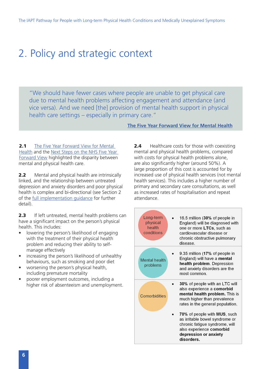## <span id="page-5-0"></span>2. Policy and strategic context

"We should have fewer cases where people are unable to get physical care due to mental health problems affecting engagement and attendance (and vice versa). And we need [the] provision of mental health support in physical health care settings – especially in primary care."

**[The Five Year Forward View for Mental Health](https://www.england.nhs.uk/wp-content/uploads/2016/02/Mental-Health-Taskforce-FYFV-final.pdf)**

**2.1** The Five Year Forward View for Mental [Health](https://www.england.nhs.uk/wp-content/uploads/2016/02/Mental-Health-Taskforce-FYFV-final.pdf) and the [Next Steps on the NHS Five Year](https://www.england.nhs.uk/wp-content/uploads/2017/03/NEXT-STEPS-ON-THE-NHS-FIVE-YEAR-FORWARD-VIEW.pdf)  [Forward View](https://www.england.nhs.uk/wp-content/uploads/2017/03/NEXT-STEPS-ON-THE-NHS-FIVE-YEAR-FORWARD-VIEW.pdf) highlighted the disparity between mental and physical health care.

**2.2** Mental and physical health are intrinsically linked, and the relationship between untreated depression and anxiety disorders and poor physical health is complex and bi-directional (see Section 2 of the [full implementation guidance](http://www.rcpsych.ac.uk/IAPTCarePathways) for further detail).

**2.3** If left untreated, mental health problems can have a significant impact on the person's physical health. This includes:

- lowering the person's likelihood of engaging with the treatment of their physical health problem and reducing their ability to selfmanage effectively
- increasing the person's likelihood of unhealthy behaviours, such as smoking and poor diet
- worsening the person's physical health, including premature mortality
- poorer employment outcomes, including a higher risk of absenteeism and unemployment.

**2.4** Healthcare costs for those with coexisting mental and physical health problems, compared with costs for physical health problems alone, are also significantly higher (around 50%). A large proportion of this cost is accounted for by increased use of physical health services (not mental health services). This includes a higher number of primary and secondary care consultations, as well as increased rates of hospitalisation and repeat attendance.

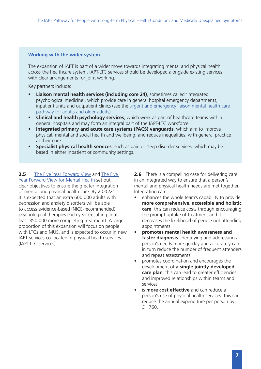### **Working with the wider system**

The expansion of IAPT is part of a wider move towards integrating mental and physical health across the healthcare system. IAPT-LTC services should be developed alongside existing services, with clear arrangements for joint working.

Key partners include:

- **• Liaison mental health services (including core 24)**, sometimes called 'integrated psychological medicine', which provide care in general hospital emergency departments, inpatient units and outpatient clinics (see the [urgent and emergency liaison mental health care](https://www.england.nhs.uk/wp-content/uploads/2016/11/lmhs-guidance.pdf)  [pathway for adults and older adults](https://www.england.nhs.uk/wp-content/uploads/2016/11/lmhs-guidance.pdf))
- **• Clinical and health psychology services**, which work as part of healthcare teams within general hospitals and may form an integral part of the IAPT-LTC workforce
- **• Integrated primary and acute care systems (PACS) vanguards**, which aim to improve physical, mental and social health and wellbeing, and reduce inequalities, with general practice at their core
- **• Specialist physical health services**, such as pain or sleep disorder services, which may be based in either inpatient or community settings.

**2.5** [The Five Year Forward View](https://www.england.nhs.uk/wp-content/uploads/2014/10/5yfv-web.pdf) and The Five [Year Forward View for Mental Health](https://www.england.nhs.uk/wp-content/uploads/2016/02/Mental-Health-Taskforce-FYFV-final.pdf) set out clear objectives to ensure the greater integration of mental and physical health care. By 2020/21 it is expected that an extra 600,000 adults with depression and anxiety disorders will be able to access evidence-based (NICE-recommended) psychological therapies each year (resulting in at least 350,000 more completing treatment). A large proportion of this expansion will focus on people with LTCs and MUS, and is expected to occur in new IAPT services co-located in physical health services (IAPT-LTC services).

**2.6** There is a compelling case for delivering care in an integrated way to ensure that a person's mental and physical health needs are met together. Integrating care:

- enhances the whole team's capability to provide **more comprehensive, accessible and holistic care**: this can reduce costs through encouraging the prompt uptake of treatment and it decreases the likelihood of people not attending appointments
- **• promotes mental health awareness and faster diagnosis**: identifying and addressing a person's needs more quickly and accurately can in turn reduce the number of frequent attenders and repeat assessments
- promotes coordination and encourages the development of **a single jointly-developed care plan**: this can lead to greater efficiencies and improved relationships within teams and services
- is **more cost effective** and can reduce a person's use of physical health services: this can reduce the annual expenditure per person by £1,760.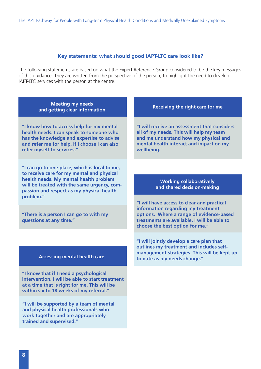#### **Key statements: what should good IAPT-LTC care look like?**

The following statements are based on what the Expert Reference Group considered to be the key messages of this guidance. They are written from the perspective of the person, to highlight the need to develop IAPT-LTC services with the person at the centre.

**Meeting my needs and getting clear information Receiving the right care for me** 

**"I know how to access help for my mental health needs. I can speak to someone who has the knowledge and expertise to advise and refer me for help. If I choose I can also refer myself to services."**

**"I can go to one place, which is local to me, to receive care for my mental and physical health needs. My mental health problem will be treated with the same urgency, compassion and respect as my physical health problem."**

**"There is a person I can go to with my questions at any time."**

#### **Accessing mental health care**

**"I know that if I need a psychological intervention, I will be able to start treatment at a time that is right for me. This will be within six to 18 weeks of my referral."**

**"I will be supported by a team of mental and physical health professionals who work together and are appropriately trained and supervised."**

**"I will receive an assessment that considers all of my needs. This will help my team and me understand how my physical and mental health interact and impact on my wellbeing."** 

#### **Working collaboratively and shared decision-making**

**"I will have access to clear and practical information regarding my treatment options. Where a range of evidence-based treatments are available, I will be able to choose the best option for me."** 

**"I will jointly develop a care plan that outlines my treatment and includes selfmanagement strategies. This will be kept up to date as my needs change."**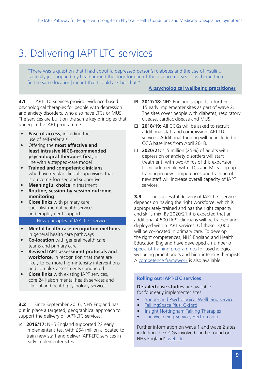# <span id="page-8-0"></span>3. Delivering IAPT-LTC services

"There was a question that I had about [a depressed person's] diabetes and the use of insulin... I actually just popped my head around the door for one of the practice nurses... just being there [in the same location] meant that I could ask her that."

**3.1** IAPT-LTC services provide evidence-based psychological therapies for people with depression and anxiety disorders, who also have LTCs or MUS. The services are built on the same key principles that underpin the IAPT programme:

- **• Ease of access**, including the use of self-referrals
- Offering the **most effective and least intrusive NICE-recommended psychological therapies first**, in line with a stepped-care model
- **• Trained and competent clinicians**, who have regular clinical supervision that is outcome-focused and supportive
- **• Meaningful choice** in treatment
- **• Routine, session-by-session outcome monitoring**
- **• Close links** with primary care, specialist mental health services and employment support

#### New principles of IAPT-LTC services

- **• Mental health case recognition methods**  in general health care pathways
- **• Co-location** with general health care teams and primary care
- **• Revised IAPT assessment protocols and workforce**, in recognition that there are likely to be more high-intensity interventions and complex assessments conducted
- **• Close links** with existing IAPT services, core 24 liaison mental health services and clinical and health psychology services

**3.2** Since September 2016, NHS England has put in place a targeted, geographical approach to support the delivery of IAPT-LTC services:

; **2016/17:** NHS England supported 22 early implementer sites, with £54 million allocated to train new staff and deliver IAPT-LTC services in early implementer sites.

#### **[A psychological wellbeing practitioner](https://implementationscience.biomedcentral.com/articles/10.1186/1748-5908-8-110)**

- ; **2017/18:** NHS England supports a further 15 early implementer sites as part of wave 2. The sites cover people with diabetes, respiratory disease, cardiac disease and MUS.
- **2018/19:** All CCGs will be asked to recruit additional staff and commission IAPT-LTC services. Additional funding will be included in CCG baselines from April 2018.
- **2020/21:** 1.5 million (25%) of adults with depression or anxiety disorders will start treatment, with two-thirds of this expansion to include people with LTCs and MUS. Top-up training in new competences and training of new staff will increase overall capacity of IAPT services.

**3.3** The successful delivery of IAPT-LTC services depends on having the right workforce, which is appropriately trained and has the right capacity and skills mix. By 2020/21 it is expected that an additional 4,500 IAPT clinicians will be trained and deployed within IAPT services. Of these, 3,000 will be co-located in primary care. To develop the right competences, NHS England and Health Education England have developed a number of [specialist training programmes](https://hee.nhs.uk/our-work/mental-health/improving-access-psychological-therapies) for psychological wellbeing practitioners and high-intensity therapists. A [competence framework](https://www.ucl.ac.uk/pals/research/cehp/research-groups/core/competence-frameworks/Psychological_Interventions_with_People_with_Persistent_Physical_Health_Problems) is also available.

#### **Rolling out IAPT-LTC services**

**Detailed case studies** are available for four early implementer sites:

- [Sunderland Psychological Wellbeing service](http://positivepracticemhdirectory.org/nccmh/sunderland-psychological-wellbeing-service-spws-ntw-nhs-foundation-trust-sunderland-counselling-service-washington-mind-nccmh-increasing-access-iapt/)
- [TalkingSpace Plus, Oxford](http://positivepracticemhdirectory.org/nccmh/talking-space-plus-iapt-oxford-healthcare-nhs-foundation-trust-nccmh/)
- [Insight Nottingham Talking Therapies](http://positivepracticemhdirectory.org/nccmh/insight-healthcare-east-midlands-service-nccmh-iapt/)
- [The Wellbeing Service, Hertfordshire](http://positivepracticemhdirectory.org/nccmh/wellbeing-service-hertfordshire-hpft-nccmh-improving-access-iapt/)

Further information on wave 1 and wave 2 sites including the CCGs involved can be found on NHS England's [website.](https://www.england.nhs.uk/mental-health/adults/iapt/mus/sites/)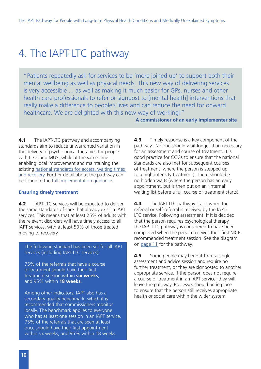### <span id="page-9-0"></span>4. The IAPT-LTC pathway

"Patients repeatedly ask for services to be 'more joined up' to support both their mental wellbeing as well as physical needs. This new way of delivering services is very accessible ... as well as making it much easier for GPs, nurses and other health care professionals to refer or signpost to [mental health] interventions that really make a difference to people's lives and can reduce the need for onward healthcare. We are delighted with this new way of working!"

**[A commissioner of an early implementer site](https://www.england.nhs.uk/mental-health/case-studies/buckinghamshire/)**

**4.1** The IAPT-LTC pathway and accompanying standards aim to reduce unwarranted variation in the delivery of psychological therapies for people with LTCs and MUS, while at the same time enabling local improvement and maintaining the existing national standards for access, waiting times [and recovery](https://www.england.nhs.uk/wp-content/uploads/2015/02/iapt-wait-times-guid.pdf). Further detail about the pathway can be found in the [full implementation guidance.](http://www.rcpsych.ac.uk/IAPTCarePathways)

#### **Ensuring timely treatment**

**4.2** IAPT-LTC services will be expected to deliver the same standards of care that already exist in IAPT services. This means that at least 25% of adults with the relevant disorders will have timely access to all IAPT services, with at least 50% of those treated moving to recovery.

The following standard has been set for all IAPT services (including IAPT-LTC services):

75% of the referrals that have a course of treatment should have their first treatment session within **six weeks**, and 95% within **18 weeks**.

Among other indicators, IAPT also has a secondary quality benchmark, which it is recommended that commissioners monitor locally. The benchmark applies to everyone who has at least one session in an IAPT service. 75% of the referrals that are seen at least once should have their first appointment within six weeks, and 95% within 18 weeks.

**4.3** Timely response is a key component of the pathway. No one should wait longer than necessary for an assessment and course of treatment. It is good practice for CCGs to ensure that the national standards are also met for subsequent courses of treatment (where the person is stepped up to a high-intensity treatment). There should be no hidden waits (where the person has an early appointment, but is then put on an 'internal' waiting list before a full course of treatment starts).

4.4 The IAPT-LTC pathway starts when the referral or self-referral is received by the IAPT-LTC service. Following assessment, if it is decided that the person requires psychological therapy, the IAPT-LTC pathway is considered to have been completed when the person receives their first NICErecommended treatment session. See the diagram on [page 11](#page-10-0) for the pathway.

**4.5** Some people may benefit from a single assessment and advice session and require no further treatment, or they are signposted to another appropriate service. If the person does not require a course of treatment in an IAPT service, they will leave the pathway. Processes should be in place to ensure that the person still receives appropriate health or social care within the wider system.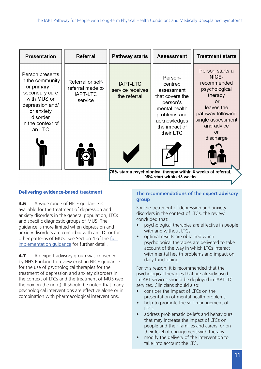<span id="page-10-0"></span>

| <b>Presentation</b>                                                                                                                                               | <b>Referral</b>                                                     | <b>Pathway starts</b>                                         | <b>Assessment</b>                                                                                                                              | <b>Treatment starts</b>                                                                                                                                                   |  |
|-------------------------------------------------------------------------------------------------------------------------------------------------------------------|---------------------------------------------------------------------|---------------------------------------------------------------|------------------------------------------------------------------------------------------------------------------------------------------------|---------------------------------------------------------------------------------------------------------------------------------------------------------------------------|--|
| Person presents<br>in the community<br>or primary or<br>secondary care<br>with MUS or<br>depression and/<br>or anxiety<br>disorder<br>in the context of<br>an LTC | Referral or self-<br>referral made to<br><b>IAPT-LTC</b><br>service | <b>IAPT-LTC</b><br>service receives<br>the referral           | Person-<br>centred<br>assessment<br>that covers the<br>person's<br>mental health<br>problems and<br>acknowledges<br>the impact of<br>their LTC | Person starts a<br>NICE-<br>recommended<br>psychological<br>therapy<br><b>or</b><br>leaves the<br>pathway following<br>single assessment<br>and advice<br>or<br>discharge |  |
|                                                                                                                                                                   |                                                                     | 75% start a psychological therapy within 6 weeks of referral, |                                                                                                                                                |                                                                                                                                                                           |  |
| 95% start within 18 weeks                                                                                                                                         |                                                                     |                                                               |                                                                                                                                                |                                                                                                                                                                           |  |

#### **Delivering evidence-based treatment**

**4.6** A wide range of NICE guidance is available for the treatment of depression and anxiety disorders in the general population, LTCs and specific diagnostic groups of MUS. The guidance is more limited when depression and anxiety disorders are comorbid with an LTC or for other patterns of MUS. See Section 4 of the [full](http://www.rcpsych.ac.uk/workinpsychiatry/nccmh/mentalhealthcarepathways/improvingaccess.aspx)  [implementation guidance](http://www.rcpsych.ac.uk/workinpsychiatry/nccmh/mentalhealthcarepathways/improvingaccess.aspx) for further detail.

**4.7** An expert advisory group was convened by NHS England to review existing NICE guidance for the use of psychological therapies for the treatment of depression and anxiety disorders in the context of LTCs and the treatment of MUS (see the box on the right). It should be noted that many psychological interventions are effective alone or in combination with pharmacological interventions.

#### **The recommendations of the expert advisory group**

For the treatment of depression and anxiety disorders in the context of LTCs, the review concluded that:

- psychological therapies are effective in people with and without LTCs
- optimal results are obtained when psychological therapies are delivered to take account of the way in which LTCs interact with mental health problems and impact on daily functioning.

For this reason, it is recommended that the psychological therapies that are already used in IAPT services should be deployed in IAPT-LTC services. Clinicians should also:

- consider the impact of LTCs on the presentation of mental health problems
- help to promote the self-management of LTCs
- address problematic beliefs and behaviours that may increase the impact of LTCs on people and their families and carers, or on their level of engagement with therapy
- modify the delivery of the intervention to take into account the LTC.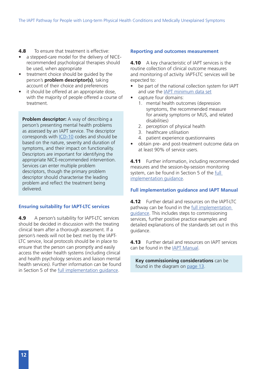#### **4.8** To ensure that treatment is effective:

- a stepped-care model for the delivery of NICErecommended psychological therapies should be used, when appropriate
- treatment choice should be guided by the person's **problem descriptor(s)**, taking account of their choice and preferences
- it should be offered at an appropriate dose, with the majority of people offered a course of treatment.

**Problem descriptor:** A way of describing a person's presenting mental health problems as assessed by an IAPT service. The descriptor corresponds with [ICD-10](http://apps.who.int/classifications/icd10/browse/2010/en) codes and should be based on the nature, severity and duration of symptoms, and their impact on functionality. Descriptors are important for identifying the appropriate NICE-recommended intervention. Services can enter multiple problem descriptors, though the primary problem descriptor should characterise the leading problem and reflect the treatment being delivered.

#### **Ensuring suitability for IAPT-LTC services**

4.9 A person's suitability for IAPT-LTC services should be decided in discussion with the treating clinical team after a thorough assessment. If a person's needs will not be best met by the IAPT-LTC service, local protocols should be in place to ensure that the person can promptly and easily access the wider health systems (including clinical and health psychology services and liaison mental health services). Further information can be found in Section 5 of the [full implementation guidance](http://www.rcpsych.ac.uk/IAPTCarePathways).

#### **Reporting and outcomes measurement**

**4.10** A key characteristic of IAPT services is the routine collection of clinical outcome measures and monitoring of activity. IAPT-LTC services will be expected to:

- be part of the national collection system for IAPT and use the [IAPT minimum data set](http://content.digital.nhs.uk/iapt)
- capture four domains:
	- 1. mental health outcomes (depression symptoms, the recommended measure for anxiety symptoms or MUS, and related disabilities)
	- 2. perception of physical health
	- 3. healthcare utilisation
	- 4. patient experience questionnaires
- obtain pre- and post-treatment outcome data on at least 90% of service users.

**4.11** Further information, including recommended measures and the session-by-session monitoring system, can be found in Section 5 of the [full](http://www.rcpsych.ac.uk/IAPTCarePathways)  [implementation guidance](http://www.rcpsych.ac.uk/IAPTCarePathways).

#### **Full implementation guidance and IAPT Manual**

**4.12** Further detail and resources on the IAPT-LTC pathway can be found in the [full implementation](http://www.rcpsych.ac.uk/workinpsychiatry/nccmh/mentalhealthcarepathways/improvingaccess.aspx)  [guidance](http://www.rcpsych.ac.uk/workinpsychiatry/nccmh/mentalhealthcarepathways/improvingaccess.aspx). This includes steps to commissioning services, further positive practice examples and detailed explanations of the standards set out in this guidance.

**4.13** Further detail and resources on IAPT services can be found in the [IAPT Manual](http://www.rcpsych.ac.uk/IAPTCarePathways).

**Key commissioning considerations** can be found in the diagram on [page 13](#page-12-0).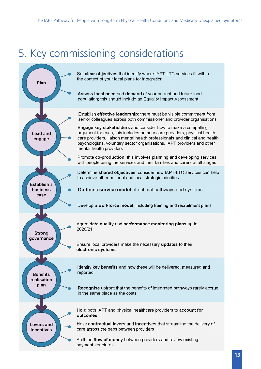## <span id="page-12-0"></span>5. Key commissioning considerations